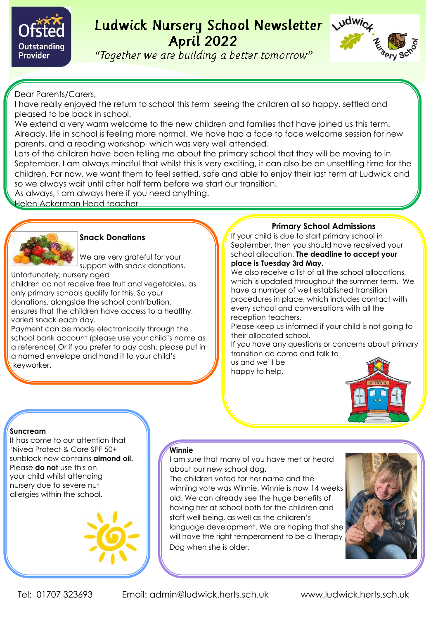

# Ludwick Nursery School Newsletter **April 2022**

"Together we are building a better tomorrow"



Dear Parents/Carers,

I have really enjoyed the return to school this term seeing the children all so happy, settled and pleased to be back in school.

We extend a very warm welcome to the new children and families that have joined us this term. Already, life in school is feeling more normal. We have had a face to face welcome session for new parents, and a reading workshop which was very well attended.

Lots of the children have been telling me about the primary school that they will be moving to in September. I am always mindful that whilst this is very exciting, it can also be an unsettling time for the children. For now, we want them to feel settled, safe and able to enjoy their last term at Ludwick and so we always wait until after half term before we start our transition.

As always, I am always here if you need anything.

Helen Ackerman Head teacher



# **Snack Donations**

We are very grateful for your support with snack donations.

Unfortunately, nursery aged

children do not receive free fruit and vegetables, as only primary schools qualify for this. So your

donations, alongside the school contribution, ensures that the children have access to a healthy, varied snack each day.

Payment can be made electronically through the school bank account (please use your child's name as a reference) Or if you prefer to pay cash, please put in a named envelope and hand it to your child's keyworker.

# **Primary School Admissions**

If your child is due to start primary school in September, then you should have received your school allocation. **The deadline to accept your place is Tuesday 3rd May.** 

We also receive a list of all the school allocations, which is updated throughout the summer term. We have a number of well established transition procedures in place, which includes contact with every school and conversations with all the reception teachers.

Please keep us informed if your child is not going to their allocated school.

If you have any questions or concerns about primary transition do come and talk to

us and we'll be happy to help.



# **Suncream**

It has come to our attention that 'Nivea Protect & Care SPF 50+ sunblock now contains **almond oil.** Please **do not** use this on your child whilst attending nursery due to severe nut allergies within the school.



## **Winnie**

I am sure that many of you have met or heard about our new school dog.

The children voted for her name and the winning vote was Winnie. Winnie is now 14 weeks old. We can already see the huge benefits of having her at school both for the children and staff well being, as well as the children's language development. We are hoping that she will have the right temperament to be a Therapy Dog when she is older.